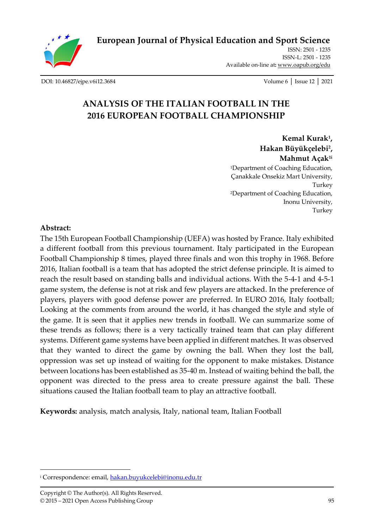

**[European Journal of Physical Education and Sport Science](http://oapub.org/edu/index.php/ejep)**

ISSN: 2501 - 1235 ISSN-L: 2501 - 1235 Available on-line at**:** [www.oapub.org/edu](http://www.oapub.org/edu)

[DOI: 10.46827/ejpe.v6i12.3684](http://dx.doi.org/10.46827/ejpe.v6i12.3684) Volume 6 │ Issue 12 │ 2021

# **ANALYSIS OF THE ITALIAN FOOTBALL IN THE 2016 EUROPEAN FOOTBALL CHAMPIONSHIP**

**Kemal Kurak<sup>1</sup> , Hakan Büyükçelebi<sup>2</sup> , Mahmut Açak1i** <sup>1</sup>Department of Coaching Education, Çanakkale Onsekiz Mart University, Turkey <sup>2</sup>Department of Coaching Education, Inonu University, Turkey

#### **Abstract:**

The 15th European Football Championship (UEFA) was hosted by France. Italy exhibited a different football from this previous tournament. Italy participated in the European Football Championship 8 times, played three finals and won this trophy in 1968. Before 2016, Italian football is a team that has adopted the strict defense principle. It is aimed to reach the result based on standing balls and individual actions. With the 5-4-1 and 4-5-1 game system, the defense is not at risk and few players are attacked. In the preference of players, players with good defense power are preferred. In EURO 2016, Italy football; Looking at the comments from around the world, it has changed the style and style of the game. It is seen that it applies new trends in football. We can summarize some of these trends as follows; there is a very tactically trained team that can play different systems. Different game systems have been applied in different matches. It was observed that they wanted to direct the game by owning the ball. When they lost the ball, oppression was set up instead of waiting for the opponent to make mistakes. Distance between locations has been established as 35-40 m. Instead of waiting behind the ball, the opponent was directed to the press area to create pressure against the ball. These situations caused the Italian football team to play an attractive football.

**Keywords:** analysis, match analysis, Italy, national team, Italian Football

<sup>&</sup>lt;sup>i</sup> Correspondence: email, [hakan.buyukcelebi@inonu.edu.tr](mailto:hakan.buyukcelebi@inonu.edu.tr)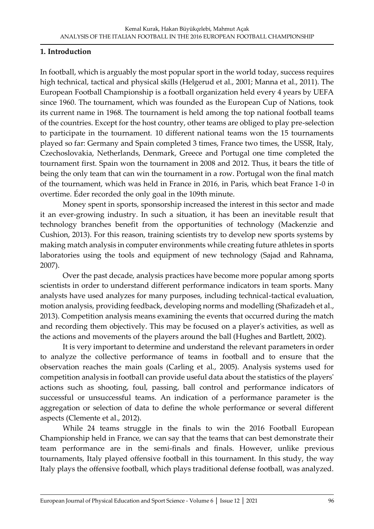### **1. Introduction**

In football, which is arguably the most popular sport in the world today, success requires high technical, tactical and physical skills (Helgerud et al., 2001; Manna et al., 2011). The European Football Championship is a football organization held every 4 years by UEFA since 1960. The tournament, which was founded as the European Cup of Nations, took its current name in 1968. The tournament is held among the top national football teams of the countries. Except for the host country, other teams are obliged to play pre-selection to participate in the tournament. 10 different national teams won the 15 tournaments played so far: Germany and Spain completed 3 times, France two times, the USSR, Italy, Czechoslovakia, Netherlands, Denmark, Greece and Portugal one time completed the tournament first. Spain won the tournament in 2008 and 2012. Thus, it bears the title of being the only team that can win the tournament in a row. Portugal won the final match of the tournament, which was held in France in 2016, in Paris, which beat France 1-0 in overtime. Éder recorded the only goal in the 109th minute.

Money spent in sports, sponsorship increased the interest in this sector and made it an ever-growing industry. In such a situation, it has been an inevitable result that technology branches benefit from the opportunities of technology (Mackenzie and Cushion, 2013). For this reason, training scientists try to develop new sports systems by making match analysis in computer environments while creating future athletes in sports laboratories using the tools and equipment of new technology (Sajad and Rahnama, 2007).

Over the past decade, analysis practices have become more popular among sports scientists in order to understand different performance indicators in team sports. Many analysts have used analyzes for many purposes, including technical-tactical evaluation, motion analysis, providing feedback, developing norms and modelling (Shafizadeh et al., 2013). Competition analysis means examining the events that occurred during the match and recording them objectively. This may be focused on a player's activities, as well as the actions and movements of the players around the ball (Hughes and Bartlett, 2002).

It is very important to determine and understand the relevant parameters in order to analyze the collective performance of teams in football and to ensure that the observation reaches the main goals (Carling et al., 2005). Analysis systems used for competition analysis in football can provide useful data about the statistics of the players' actions such as shooting, foul, passing, ball control and performance indicators of successful or unsuccessful teams. An indication of a performance parameter is the aggregation or selection of data to define the whole performance or several different aspects (Clemente et al., 2012).

While 24 teams struggle in the finals to win the 2016 Football European Championship held in France, we can say that the teams that can best demonstrate their team performance are in the semi-finals and finals. However, unlike previous tournaments, Italy played offensive football in this tournament. In this study, the way Italy plays the offensive football, which plays traditional defense football, was analyzed.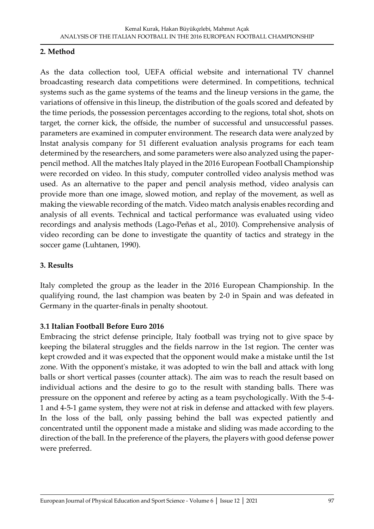### **2. Method**

As the data collection tool, UEFA official website and international TV channel broadcasting research data competitions were determined. In competitions, technical systems such as the game systems of the teams and the lineup versions in the game, the variations of offensive in this lineup, the distribution of the goals scored and defeated by the time periods, the possession percentages according to the regions, total shot, shots on target, the corner kick, the offside, the number of successful and unsuccessful passes. parameters are examined in computer environment. The research data were analyzed by lnstat analysis company for 51 different evaluation analysis programs for each team determined by the researchers, and some parameters were also analyzed using the paperpencil method. All the matches Italy played in the 2016 European Football Championship were recorded on video. In this study, computer controlled video analysis method was used. As an alternative to the paper and pencil analysis method, video analysis can provide more than one image, slowed motion, and replay of the movement, as well as making the viewable recording of the match. Video match analysis enables recording and analysis of all events. Technical and tactical performance was evaluated using video recordings and analysis methods (Lago-Peñas et al., 2010). Comprehensive analysis of video recording can be done to investigate the quantity of tactics and strategy in the soccer game (Luhtanen, 1990).

## **3. Results**

Italy completed the group as the leader in the 2016 European Championship. In the qualifying round, the last champion was beaten by 2-0 in Spain and was defeated in Germany in the quarter-finals in penalty shootout.

### **3.1 Italian Football Before Euro 2016**

Embracing the strict defense principle, Italy football was trying not to give space by keeping the bilateral struggles and the fields narrow in the 1st region. The center was kept crowded and it was expected that the opponent would make a mistake until the 1st zone. With the opponent's mistake, it was adopted to win the ball and attack with long balls or short vertical passes (counter attack). The aim was to reach the result based on individual actions and the desire to go to the result with standing balls. There was pressure on the opponent and referee by acting as a team psychologically. With the 5-4- 1 and 4-5-1 game system, they were not at risk in defense and attacked with few players. In the loss of the ball, only passing behind the ball was expected patiently and concentrated until the opponent made a mistake and sliding was made according to the direction of the ball. In the preference of the players, the players with good defense power were preferred.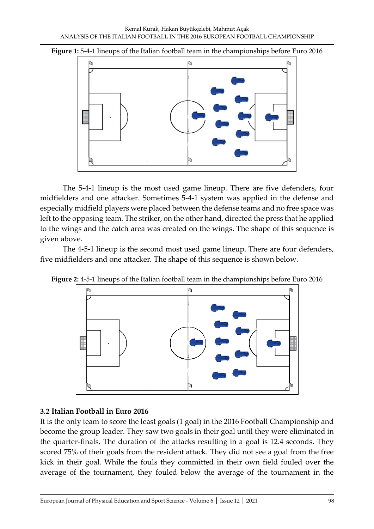**Figure 1:** 5-4-1 lineups of the Italian football team in the championships before Euro 2016



The 5-4-1 lineup is the most used game lineup. There are five defenders, four midfielders and one attacker. Sometimes 5-4-1 system was applied in the defense and especially midfield players were placed between the defense teams and no free space was left to the opposing team. The striker, on the other hand, directed the press that he applied to the wings and the catch area was created on the wings. The shape of this sequence is given above.

The 4-5-1 lineup is the second most used game lineup. There are four defenders, five midfielders and one attacker. The shape of this sequence is shown below.



**Figure 2:** 4-5-1 lineups of the Italian football team in the championships before Euro 2016

## **3.2 Italian Football in Euro 2016**

It is the only team to score the least goals (1 goal) in the 2016 Football Championship and become the group leader. They saw two goals in their goal until they were eliminated in the quarter-finals. The duration of the attacks resulting in a goal is 12.4 seconds. They scored 75% of their goals from the resident attack. They did not see a goal from the free kick in their goal. While the fouls they committed in their own field fouled over the average of the tournament, they fouled below the average of the tournament in the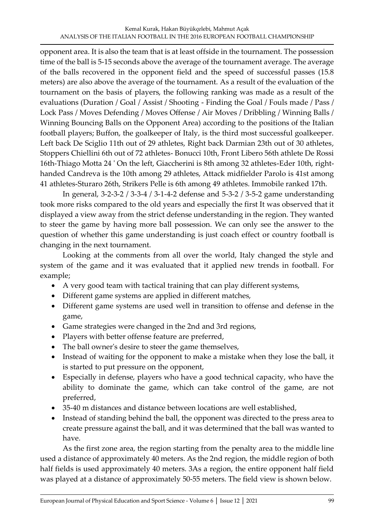opponent area. It is also the team that is at least offside in the tournament. The possession time of the ball is 5-15 seconds above the average of the tournament average. The average of the balls recovered in the opponent field and the speed of successful passes (15.8 meters) are also above the average of the tournament. As a result of the evaluation of the tournament on the basis of players, the following ranking was made as a result of the evaluations (Duration / Goal / Assist / Shooting - Finding the Goal / Fouls made / Pass / Lock Pass / Moves Defending / Moves Offense / Air Moves / Dribbling / Winning Balls / Winning Bouncing Balls on the Opponent Area) according to the positions of the Italian football players; Buffon, the goalkeeper of Italy, is the third most successful goalkeeper. Left back De Sciglio 11th out of 29 athletes, Right back Darmian 23th out of 30 athletes, Stoppers Chiellini 6th out of 72 athletes- Bonucci 10th, Front Libero 56th athlete De Rossi 16th-Thiago Motta 24 ' On the left, Giaccherini is 8th among 32 athletes-Eder 10th, righthanded Candreva is the 10th among 29 athletes, Attack midfielder Parolo is 41st among 41 athletes-Sturaro 26th, Strikers Pelle is 6th among 49 athletes. Immobile ranked 17th.

In general, 3-2-3-2 / 3-3-4 / 3-1-4-2 defense and 5-3-2 / 3-5-2 game understanding took more risks compared to the old years and especially the first It was observed that it displayed a view away from the strict defense understanding in the region. They wanted to steer the game by having more ball possession. We can only see the answer to the question of whether this game understanding is just coach effect or country football is changing in the next tournament.

Looking at the comments from all over the world, Italy changed the style and system of the game and it was evaluated that it applied new trends in football. For example;

- A very good team with tactical training that can play different systems,
- Different game systems are applied in different matches,
- Different game systems are used well in transition to offense and defense in the game,
- Game strategies were changed in the 2nd and 3rd regions,
- Players with better offense feature are preferred,
- The ball owner's desire to steer the game themselves,
- Instead of waiting for the opponent to make a mistake when they lose the ball, it is started to put pressure on the opponent,
- Especially in defense, players who have a good technical capacity, who have the ability to dominate the game, which can take control of the game, are not preferred,
- 35-40 m distances and distance between locations are well established,
- Instead of standing behind the ball, the opponent was directed to the press area to create pressure against the ball, and it was determined that the ball was wanted to have.

As the first zone area, the region starting from the penalty area to the middle line used a distance of approximately 40 meters. As the 2nd region, the middle region of both half fields is used approximately 40 meters. 3As a region, the entire opponent half field was played at a distance of approximately 50-55 meters. The field view is shown below.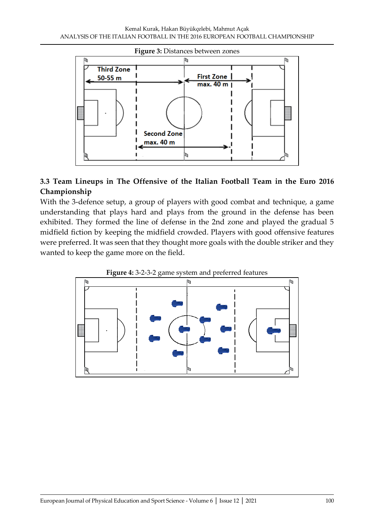

# **3.3 Team Lineups in The Offensive of the Italian Football Team in the Euro 2016 Championship**

With the 3-defence setup, a group of players with good combat and technique, a game understanding that plays hard and plays from the ground in the defense has been exhibited. They formed the line of defense in the 2nd zone and played the gradual 5 midfield fiction by keeping the midfield crowded. Players with good offensive features were preferred. It was seen that they thought more goals with the double striker and they wanted to keep the game more on the field.



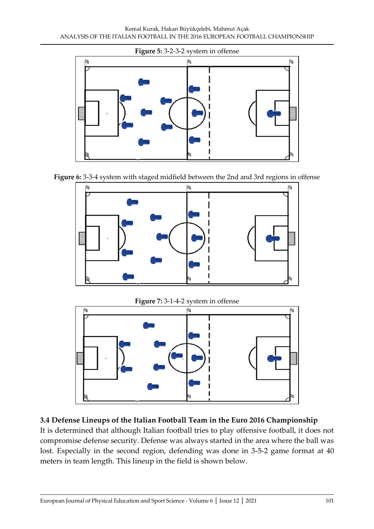

**Figure 6:** 3-3-4 system with staged midfield between the 2nd and 3rd regions in offense





### **3.4 Defense Lineups of the Italian Football Team in the Euro 2016 Championship**

It is determined that although Italian football tries to play offensive football, it does not compromise defense security. Defense was always started in the area where the ball was lost. Especially in the second region, defending was done in 3-5-2 game format at 40 meters in team length. This lineup in the field is shown below.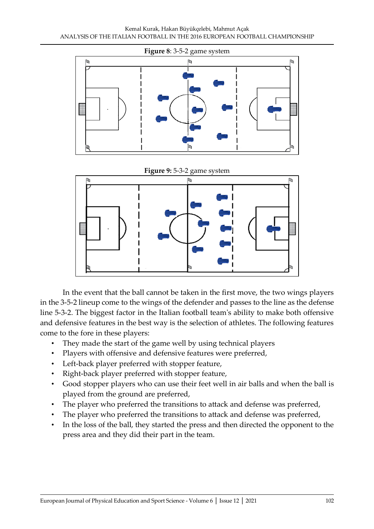

**Figure 9:** 5-3-2 game system



In the event that the ball cannot be taken in the first move, the two wings players in the 3-5-2 lineup come to the wings of the defender and passes to the line as the defense line 5-3-2. The biggest factor in the Italian football team's ability to make both offensive and defensive features in the best way is the selection of athletes. The following features come to the fore in these players:

- They made the start of the game well by using technical players
- Players with offensive and defensive features were preferred,
- Left-back player preferred with stopper feature,
- Right-back player preferred with stopper feature,
- Good stopper players who can use their feet well in air balls and when the ball is played from the ground are preferred,
- The player who preferred the transitions to attack and defense was preferred,
- The player who preferred the transitions to attack and defense was preferred,
- In the loss of the ball, they started the press and then directed the opponent to the press area and they did their part in the team.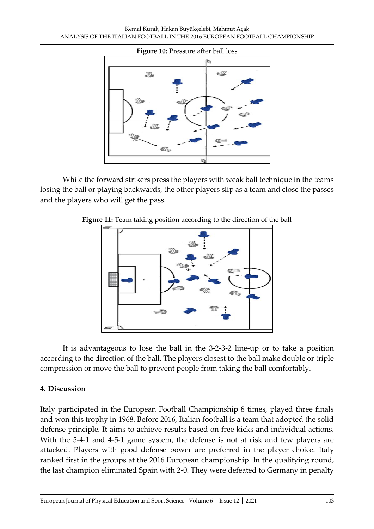

While the forward strikers press the players with weak ball technique in the teams losing the ball or playing backwards, the other players slip as a team and close the passes and the players who will get the pass.





It is advantageous to lose the ball in the 3-2-3-2 line-up or to take a position according to the direction of the ball. The players closest to the ball make double or triple compression or move the ball to prevent people from taking the ball comfortably.

## **4. Discussion**

Italy participated in the European Football Championship 8 times, played three finals and won this trophy in 1968. Before 2016, Italian football is a team that adopted the solid defense principle. It aims to achieve results based on free kicks and individual actions. With the 5-4-1 and 4-5-1 game system, the defense is not at risk and few players are attacked. Players with good defense power are preferred in the player choice. Italy ranked first in the groups at the 2016 European championship. In the qualifying round, the last champion eliminated Spain with 2-0. They were defeated to Germany in penalty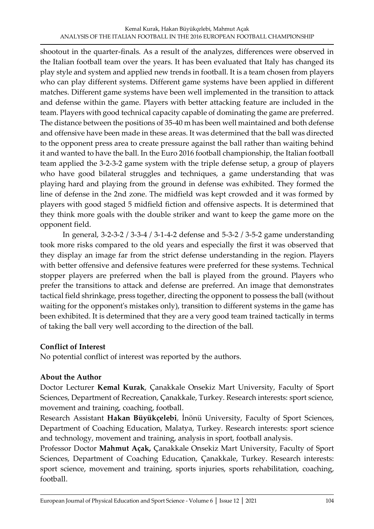shootout in the quarter-finals. As a result of the analyzes, differences were observed in the Italian football team over the years. It has been evaluated that Italy has changed its play style and system and applied new trends in football. It is a team chosen from players who can play different systems. Different game systems have been applied in different matches. Different game systems have been well implemented in the transition to attack and defense within the game. Players with better attacking feature are included in the team. Players with good technical capacity capable of dominating the game are preferred. The distance between the positions of 35-40 m has been well maintained and both defense and offensive have been made in these areas. It was determined that the ball was directed to the opponent press area to create pressure against the ball rather than waiting behind it and wanted to have the ball. In the Euro 2016 football championship, the Italian football team applied the 3-2-3-2 game system with the triple defense setup, a group of players who have good bilateral struggles and techniques, a game understanding that was playing hard and playing from the ground in defense was exhibited. They formed the line of defense in the 2nd zone. The midfield was kept crowded and it was formed by players with good staged 5 midfield fiction and offensive aspects. It is determined that they think more goals with the double striker and want to keep the game more on the opponent field.

In general, 3-2-3-2 / 3-3-4 / 3-1-4-2 defense and 5-3-2 / 3-5-2 game understanding took more risks compared to the old years and especially the first it was observed that they display an image far from the strict defense understanding in the region. Players with better offensive and defensive features were preferred for these systems. Technical stopper players are preferred when the ball is played from the ground. Players who prefer the transitions to attack and defense are preferred. An image that demonstrates tactical field shrinkage, press together, directing the opponent to possess the ball (without waiting for the opponent's mistakes only), transition to different systems in the game has been exhibited. It is determined that they are a very good team trained tactically in terms of taking the ball very well according to the direction of the ball.

### **Conflict of Interest**

No potential conflict of interest was reported by the authors.

### **About the Author**

Doctor Lecturer **Kemal Kurak**, Çanakkale Onsekiz Mart University, Faculty of Sport Sciences, Department of Recreation, Çanakkale, Turkey. Research interests: sport science, movement and training, coaching, football.

Research Assistant **Hakan Büyükçelebi**, İnönü University, Faculty of Sport Sciences, Department of Coaching Education, Malatya, Turkey. Research interests: sport science and technology, movement and training, analysis in sport, football analysis.

Professor Doctor **Mahmut Açak,** Çanakkale Onsekiz Mart University, Faculty of Sport Sciences, Department of Coaching Education, Çanakkale, Turkey. Research interests: sport science, movement and training, sports injuries, sports rehabilitation, coaching, football.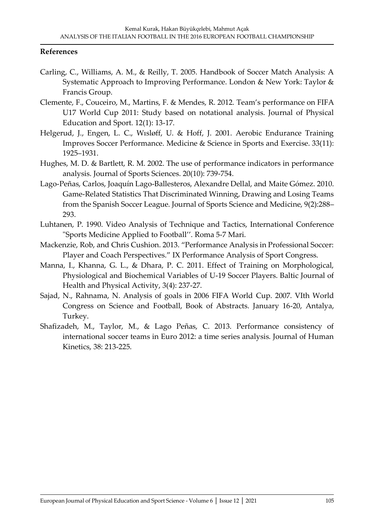#### **References**

- Carling, C., Williams, A. M., & Reilly, T. 2005. Handbook of Soccer Match Analysis: A Systematic Approach to Improving Performance. London & New York: Taylor & Francis Group.
- Clemente, F., Couceiro, M., Martins, F. & Mendes, R. 2012. Team's performance on FIFA U17 World Cup 2011: Study based on notational analysis. Journal of Physical Education and Sport. 12(1): 13-17.
- Helgerud, J., Engen, L. C., Wısløff, U. & Hoff, J. 2001. Aerobic Endurance Training Improves Soccer Performance. Medicine & Science in Sports and Exercise. 33(11): 1925–1931.
- Hughes, M. D. & Bartlett, R. M. 2002. The use of performance indicators in performance analysis. Journal of Sports Sciences. 20(10): 739-754.
- Lago-Peñas, Carlos, Joaquín Lago-Ballesteros, Alexandre Dellal, and Maite Gómez. 2010. Game-Related Statistics That Discriminated Winning, Drawing and Losing Teams from the Spanish Soccer League. Journal of Sports Science and Medicine, 9(2):288– 293.
- Luhtanen, P. 1990. Video Analysis of Technique and Tactics, International Conference "Sports Medicine Applied to Football''. Roma 5-7 Mari.
- Mackenzie, Rob, and Chris Cushion. 2013. "Performance Analysis in Professional Soccer: Player and Coach Perspectives." IX Performance Analysis of Sport Congress.
- Manna, I., Khanna, G. L., & Dhara, P. C. 2011. Effect of Training on Morphological, Physiological and Biochemical Variables of U-19 Soccer Players. Baltic Journal of Health and Physical Activity, 3(4): 237-27.
- Sajad, N., Rahnama, N. Analysis of goals in 2006 FIFA World Cup. 2007. VIth World Congress on Science and Football, Book of Abstracts. January 16-20, Antalya, Turkey.
- Shafizadeh, M., Taylor, M., & Lago Peñas, C. 2013. Performance consistency of international soccer teams in Euro 2012: a time series analysis. Journal of Human Kinetics, 38: 213-225.